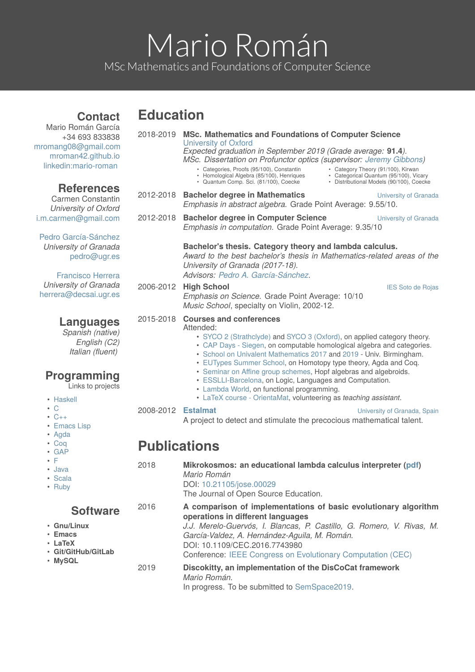# Mario Román MSc Mathematics and Foundations of Computer Science

# **Education**

**Contact**

| Mario Román García<br>+34 693 833838<br>mromang08@gmail.com<br>mroman42.github.io<br>linkedin:mario-roman                 |                                           | 2018-2019 MSc. Mathematics and Foundations of Computer Science<br><b>University of Oxford</b><br>Expected graduation in September 2019 (Grade average: 91.4).<br>MSc. Dissertation on Profunctor optics (supervisor: Jeremy Gibbons)<br>• Categories, Proofs (95/100), Constantin<br>• Category Theory (91/100), Kirwan<br>• Categorical Quantum (95/100), Vicary<br>• Homological Algebra (85/100), Henriques<br>• Distributional Models (90/100), Coecke<br>• Quantum Comp. Sci. (81/100), Coecke                                                                                          |
|---------------------------------------------------------------------------------------------------------------------------|-------------------------------------------|----------------------------------------------------------------------------------------------------------------------------------------------------------------------------------------------------------------------------------------------------------------------------------------------------------------------------------------------------------------------------------------------------------------------------------------------------------------------------------------------------------------------------------------------------------------------------------------------|
| <b>References</b><br><b>Carmen Constantin</b><br>University of Oxford                                                     |                                           | 2012-2018 Bachelor degree in Mathematics<br>University of Granada<br>Emphasis in abstract algebra. Grade Point Average: 9.55/10.                                                                                                                                                                                                                                                                                                                                                                                                                                                             |
| i.m.carmen@gmail.com                                                                                                      | 2012-2018                                 | <b>Bachelor degree in Computer Science</b><br>University of Granada<br>Emphasis in computation. Grade Point Average: 9.35/10                                                                                                                                                                                                                                                                                                                                                                                                                                                                 |
| Pedro García-Sánchez<br>University of Granada<br>pedro@ugr.es<br><b>Francisco Herrera</b>                                 |                                           | Bachelor's thesis. Category theory and lambda calculus.<br>Award to the best bachelor's thesis in Mathematics-related areas of the<br>University of Granada (2017-18).<br>Advisors: Pedro A. García-Sánchez.                                                                                                                                                                                                                                                                                                                                                                                 |
| University of Granada<br>herrera@decsai.ugr.es                                                                            |                                           | 2006-2012 High School<br><b>IES Soto de Rojas</b><br>Emphasis on Science. Grade Point Average: 10/10<br>Music School, specialty on Violin, 2002-12.                                                                                                                                                                                                                                                                                                                                                                                                                                          |
| Languages<br>Spanish (native)<br>English (C2)<br>Italian (fluent)<br><b>Programming</b><br>Links to projects<br>• Haskell | 2015-2018                                 | <b>Courses and conferences</b><br>Attended:<br>• SYCO 2 (Strathclyde) and SYCO 3 (Oxford), on applied category theory.<br>• CAP Days - Siegen, on computable homological algebra and categories.<br>• School on Univalent Mathematics 2017 and 2019 - Univ. Birmingham.<br>• EUTypes Summer School, on Homotopy type theory, Agda and Coq.<br>• Seminar on Affine group schemes, Hopf algebras and algebroids.<br>• ESSLLI-Barcelona, on Logic, Languages and Computation.<br>• Lambda World, on functional programming.<br>• LaTeX course - OrientaMat, volunteering as teaching assistant. |
| $\cdot$ C<br>$\cdot$ C++<br>• Emacs Lisp<br>• Agda<br>$\cdot$ Coq                                                         | 2008-2012 Estalmat<br><b>Publications</b> | University of Granada, Spain<br>A project to detect and stimulate the precocious mathematical talent.                                                                                                                                                                                                                                                                                                                                                                                                                                                                                        |
| $\cdot$ GAP<br>٠F                                                                                                         |                                           |                                                                                                                                                                                                                                                                                                                                                                                                                                                                                                                                                                                              |
| · Java<br>• Scala<br>• Ruby                                                                                               | 2018                                      | Mikrokosmos: an educational lambda calculus interpreter (pdf)<br>Mario Román<br>DOI: 10.21105/jose.00029<br>The Journal of Open Source Education.                                                                                                                                                                                                                                                                                                                                                                                                                                            |
| <b>Software</b><br>• Gnu/Linux<br><b>Emacs</b><br>• LaTeX<br>· Git/GitHub/GitLab<br>• MySQL                               | 2016                                      | A comparison of implementations of basic evolutionary algorithm<br>operations in different languages<br>J.J. Merelo-Guervós, I. Blancas, P. Castillo, G. Romero, V. Rivas, M.<br>García-Valdez, A. Hernández-Aguila, M. Román.<br>DOI: 10.1109/CEC.2016.7743980<br>Conference: IEEE Congress on Evolutionary Computation (CEC)                                                                                                                                                                                                                                                               |
|                                                                                                                           | 2019                                      | Discokitty, an implementation of the DisCoCat framework<br>Mario Román.<br>In progress. To be submitted to SemSpace2019.                                                                                                                                                                                                                                                                                                                                                                                                                                                                     |